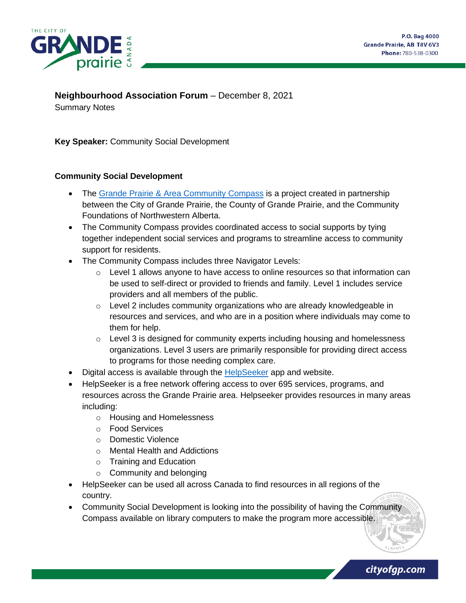

**Neighbourhood Association Forum** – December 8, 2021

Summary Notes

**Key Speaker:** Community Social Development

#### **Community Social Development**

- The [Grande Prairie & Area Community Compass](https://www.cityofgp.com/culture-community/social-programs-and-initiatives/community-compass) is a project created in partnership between the City of Grande Prairie, the County of Grande Prairie, and the Community Foundations of Northwestern Alberta.
- The Community Compass provides coordinated access to social supports by tying together independent social services and programs to streamline access to community support for residents.
- The Community Compass includes three Navigator Levels:
	- o Level 1 allows anyone to have access to online resources so that information can be used to self-direct or provided to friends and family. Level 1 includes service providers and all members of the public.
	- o Level 2 includes community organizations who are already knowledgeable in resources and services, and who are in a position where individuals may come to them for help.
	- o Level 3 is designed for community experts including housing and homelessness organizations. Level 3 users are primarily responsible for providing direct access to programs for those needing complex care.
- Digital access is available through the **HelpSeeker** app and website.
- HelpSeeker is a free network offering access to over 695 services, programs, and resources across the Grande Prairie area. Helpseeker provides resources in many areas including:
	- o Housing and Homelessness
	- o Food Services
	- o Domestic Violence
	- o Mental Health and Addictions
	- o Training and Education
	- o Community and belonging
- HelpSeeker can be used all across Canada to find resources in all regions of the country.
- Community Social Development is looking into the possibility of having the Community Compass available on library computers to make the program more accessible.

cityofgp.com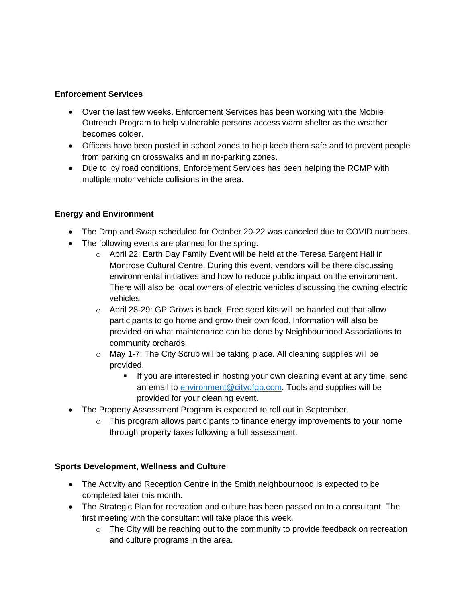### **Enforcement Services**

- Over the last few weeks, Enforcement Services has been working with the Mobile Outreach Program to help vulnerable persons access warm shelter as the weather becomes colder.
- Officers have been posted in school zones to help keep them safe and to prevent people from parking on crosswalks and in no-parking zones.
- Due to icy road conditions, Enforcement Services has been helping the RCMP with multiple motor vehicle collisions in the area.

# **Energy and Environment**

- The Drop and Swap scheduled for October 20-22 was canceled due to COVID numbers.
- The following events are planned for the spring:
	- o April 22: Earth Day Family Event will be held at the Teresa Sargent Hall in Montrose Cultural Centre. During this event, vendors will be there discussing environmental initiatives and how to reduce public impact on the environment. There will also be local owners of electric vehicles discussing the owning electric vehicles.
	- $\circ$  April 28-29: GP Grows is back. Free seed kits will be handed out that allow participants to go home and grow their own food. Information will also be provided on what maintenance can be done by Neighbourhood Associations to community orchards.
	- o May 1-7: The City Scrub will be taking place. All cleaning supplies will be provided.
		- **EXT** If you are interested in hosting your own cleaning event at any time, send an email to [environment@cityofgp.com.](mailto:environment@cityofgp.com) Tools and supplies will be provided for your cleaning event.
- The Property Assessment Program is expected to roll out in September.
	- $\circ$  This program allows participants to finance energy improvements to your home through property taxes following a full assessment.

# **Sports Development, Wellness and Culture**

- The Activity and Reception Centre in the Smith neighbourhood is expected to be completed later this month.
- The Strategic Plan for recreation and culture has been passed on to a consultant. The first meeting with the consultant will take place this week.
	- o The City will be reaching out to the community to provide feedback on recreation and culture programs in the area.